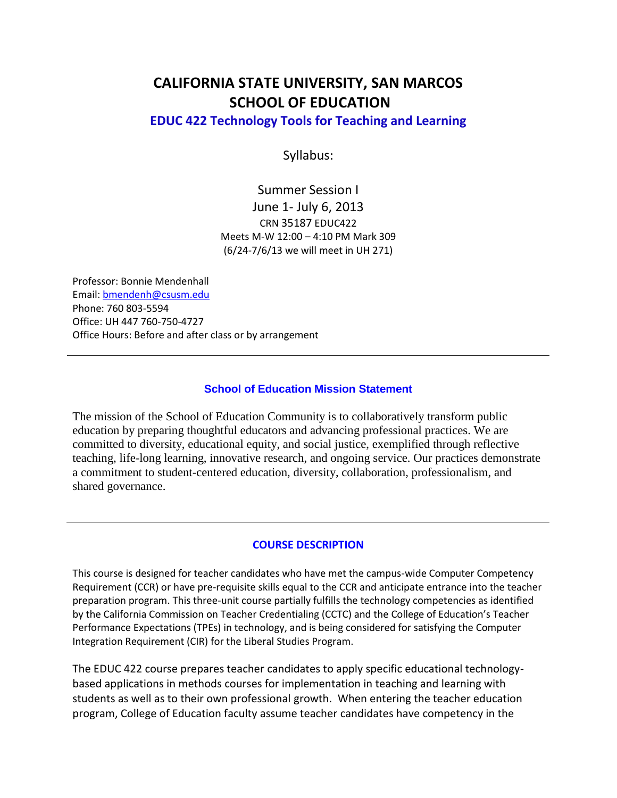# **CALIFORNIA STATE UNIVERSITY, SAN MARCOS SCHOOL OF EDUCATION**

**EDUC 422 Technology Tools for Teaching and Learning**

Syllabus:

Summer Session I June 1- July 6, 2013 CRN 35187 EDUC422 Meets M-W 12:00 – 4:10 PM Mark 309 (6/24-7/6/13 we will meet in UH 271)

Professor: Bonnie Mendenhall Email: [bmendenh@csusm.edu](mailto:bmendenh@csusm.edu) Phone: 760 803-5594 Office: UH 447 760-750-4727 Office Hours: Before and after class or by arrangement

#### **School of Education Mission Statement**

The mission of the School of Education Community is to collaboratively transform public education by preparing thoughtful educators and advancing professional practices. We are committed to diversity, educational equity, and social justice, exemplified through reflective teaching, life-long learning, innovative research, and ongoing service. Our practices demonstrate a commitment to student-centered education, diversity, collaboration, professionalism, and shared governance.

#### **COURSE DESCRIPTION**

This course is designed for teacher candidates who have met the campus-wide Computer Competency Requirement (CCR) or have pre-requisite skills equal to the CCR and anticipate entrance into the teacher preparation program. This three-unit course partially fulfills the technology competencies as identified by the California Commission on Teacher Credentialing (CCTC) and the College of Education's Teacher Performance Expectations (TPEs) in technology, and is being considered for satisfying the Computer Integration Requirement (CIR) for the Liberal Studies Program.

The EDUC 422 course prepares teacher candidates to apply specific educational technologybased applications in methods courses for implementation in teaching and learning with students as well as to their own professional growth. When entering the teacher education program, College of Education faculty assume teacher candidates have competency in the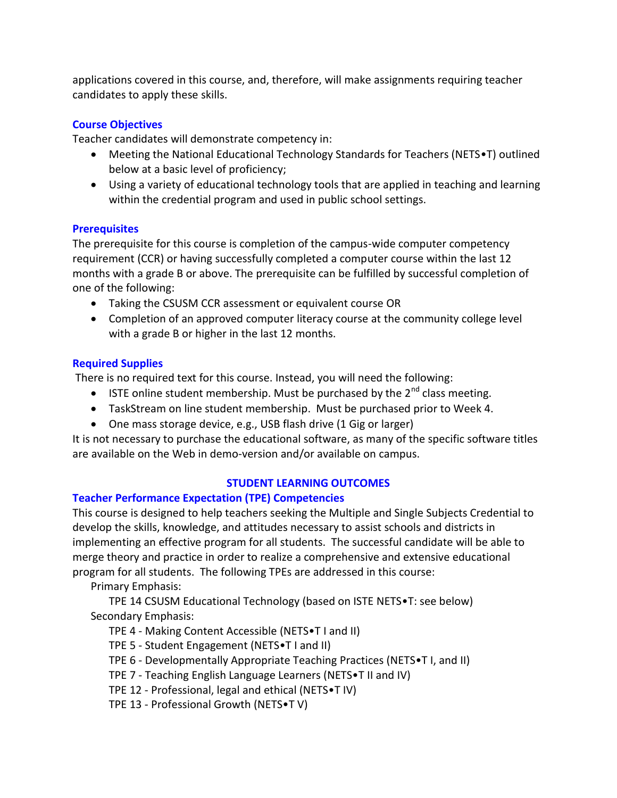applications covered in this course, and, therefore, will make assignments requiring teacher candidates to apply these skills.

## **Course Objectives**

Teacher candidates will demonstrate competency in:

- Meeting the National Educational Technology Standards for Teachers (NETS•T) outlined below at a basic level of proficiency;
- Using a variety of educational technology tools that are applied in teaching and learning within the credential program and used in public school settings.

### **Prerequisites**

The prerequisite for this course is completion of the campus-wide computer competency requirement (CCR) or having successfully completed a computer course within the last 12 months with a grade B or above. The prerequisite can be fulfilled by successful completion of one of the following:

- Taking the CSUSM CCR assessment or equivalent course OR
- Completion of an approved computer literacy course at the community college level with a grade B or higher in the last 12 months.

## **Required Supplies**

There is no required text for this course. Instead, you will need the following:

- **ISTE online student membership. Must be purchased by the 2<sup>nd</sup> class meeting.**
- TaskStream on line student membership. Must be purchased prior to Week 4.
- One mass storage device, e.g., USB flash drive (1 Gig or larger)

It is not necessary to purchase the educational software, as many of the specific software titles are available on the Web in demo-version and/or available on campus.

### **STUDENT LEARNING OUTCOMES**

# **Teacher Performance Expectation (TPE) Competencies**

This course is designed to help teachers seeking the Multiple and Single Subjects Credential to develop the skills, knowledge, and attitudes necessary to assist schools and districts in implementing an effective program for all students. The successful candidate will be able to merge theory and practice in order to realize a comprehensive and extensive educational program for all students. The following TPEs are addressed in this course:

Primary Emphasis:

TPE 14 CSUSM Educational Technology (based on ISTE NETS•T: see below) Secondary Emphasis:

TPE 4 - Making Content Accessible (NETS•T I and II)

TPE 5 - Student Engagement (NETS•T I and II)

TPE 6 - Developmentally Appropriate Teaching Practices (NETS•T I, and II)

TPE 7 - Teaching English Language Learners (NETS•T II and IV)

TPE 12 - Professional, legal and ethical (NETS•T IV)

TPE 13 - Professional Growth (NETS•T V)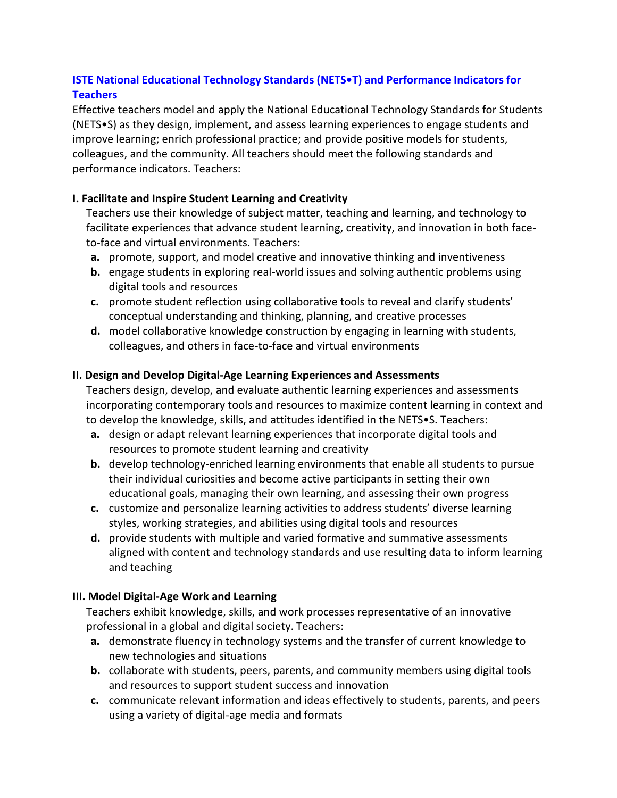# **ISTE National Educational Technology Standards (NETS•T) and Performance Indicators for Teachers**

Effective teachers model and apply the National Educational Technology Standards for Students (NETS•S) as they design, implement, and assess learning experiences to engage students and improve learning; enrich professional practice; and provide positive models for students, colleagues, and the community. All teachers should meet the following standards and performance indicators. Teachers:

## **I. Facilitate and Inspire Student Learning and Creativity**

Teachers use their knowledge of subject matter, teaching and learning, and technology to facilitate experiences that advance student learning, creativity, and innovation in both faceto-face and virtual environments. Teachers:

- **a.** promote, support, and model creative and innovative thinking and inventiveness
- **b.** engage students in exploring real-world issues and solving authentic problems using digital tools and resources
- **c.** promote student reflection using collaborative tools to reveal and clarify students' conceptual understanding and thinking, planning, and creative processes
- **d.** model collaborative knowledge construction by engaging in learning with students, colleagues, and others in face-to-face and virtual environments

### **II. Design and Develop Digital-Age Learning Experiences and Assessments**

Teachers design, develop, and evaluate authentic learning experiences and assessments incorporating contemporary tools and resources to maximize content learning in context and to develop the knowledge, skills, and attitudes identified in the NETS•S. Teachers:

- **a.** design or adapt relevant learning experiences that incorporate digital tools and resources to promote student learning and creativity
- **b.** develop technology-enriched learning environments that enable all students to pursue their individual curiosities and become active participants in setting their own educational goals, managing their own learning, and assessing their own progress
- **c.** customize and personalize learning activities to address students' diverse learning styles, working strategies, and abilities using digital tools and resources
- **d.** provide students with multiple and varied formative and summative assessments aligned with content and technology standards and use resulting data to inform learning and teaching

### **III. Model Digital-Age Work and Learning**

Teachers exhibit knowledge, skills, and work processes representative of an innovative professional in a global and digital society. Teachers:

- **a.** demonstrate fluency in technology systems and the transfer of current knowledge to new technologies and situations
- **b.** collaborate with students, peers, parents, and community members using digital tools and resources to support student success and innovation
- **c.** communicate relevant information and ideas effectively to students, parents, and peers using a variety of digital-age media and formats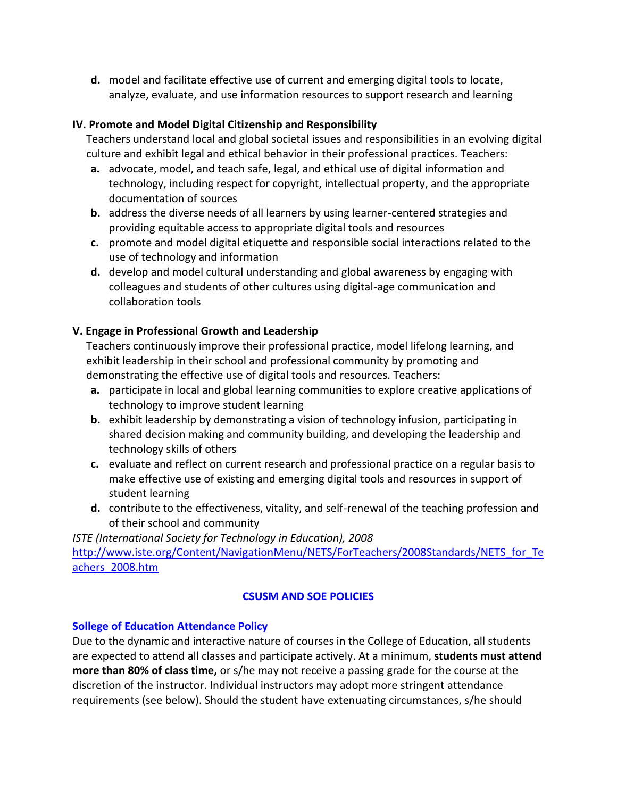**d.** model and facilitate effective use of current and emerging digital tools to locate, analyze, evaluate, and use information resources to support research and learning

## **IV. Promote and Model Digital Citizenship and Responsibility**

Teachers understand local and global societal issues and responsibilities in an evolving digital culture and exhibit legal and ethical behavior in their professional practices. Teachers:

- **a.** advocate, model, and teach safe, legal, and ethical use of digital information and technology, including respect for copyright, intellectual property, and the appropriate documentation of sources
- **b.** address the diverse needs of all learners by using learner-centered strategies and providing equitable access to appropriate digital tools and resources
- **c.** promote and model digital etiquette and responsible social interactions related to the use of technology and information
- **d.** develop and model cultural understanding and global awareness by engaging with colleagues and students of other cultures using digital-age communication and collaboration tools

## **V. Engage in Professional Growth and Leadership**

Teachers continuously improve their professional practice, model lifelong learning, and exhibit leadership in their school and professional community by promoting and demonstrating the effective use of digital tools and resources. Teachers:

- **a.** participate in local and global learning communities to explore creative applications of technology to improve student learning
- **b.** exhibit leadership by demonstrating a vision of technology infusion, participating in shared decision making and community building, and developing the leadership and technology skills of others
- **c.** evaluate and reflect on current research and professional practice on a regular basis to make effective use of existing and emerging digital tools and resources in support of student learning
- **d.** contribute to the effectiveness, vitality, and self-renewal of the teaching profession and of their school and community

*ISTE (International Society for Technology in Education), 2008* [http://www.iste.org/Content/NavigationMenu/NETS/ForTeachers/2008Standards/NETS\\_for\\_Te](http://www.iste.org/Content/NavigationMenu/NETS/ForTeachers/2008Standards/NETS_for_Teachers_2008.htm) [achers\\_2008.htm](http://www.iste.org/Content/NavigationMenu/NETS/ForTeachers/2008Standards/NETS_for_Teachers_2008.htm)

### **CSUSM AND SOE POLICIES**

### **Sollege of Education Attendance Policy**

Due to the dynamic and interactive nature of courses in the College of Education, all students are expected to attend all classes and participate actively. At a minimum, **students must attend more than 80% of class time,** or s/he may not receive a passing grade for the course at the discretion of the instructor. Individual instructors may adopt more stringent attendance requirements (see below). Should the student have extenuating circumstances, s/he should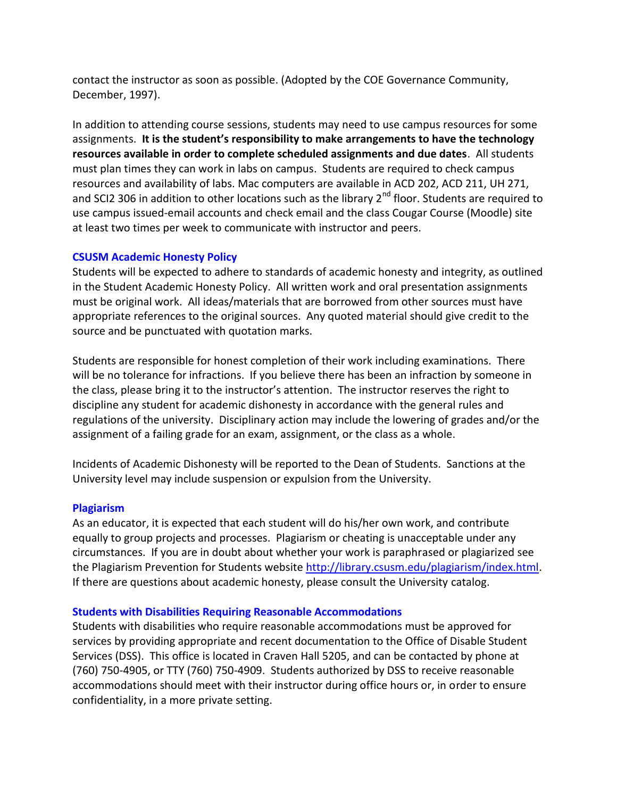contact the instructor as soon as possible. (Adopted by the COE Governance Community, December, 1997).

In addition to attending course sessions, students may need to use campus resources for some assignments. **It is the student's responsibility to make arrangements to have the technology resources available in order to complete scheduled assignments and due dates**. All students must plan times they can work in labs on campus. Students are required to check campus resources and availability of labs. Mac computers are available in ACD 202, ACD 211, UH 271, and SCI2 306 in addition to other locations such as the library  $2^{nd}$  floor. Students are required to use campus issued-email accounts and check email and the class Cougar Course (Moodle) site at least two times per week to communicate with instructor and peers.

#### **CSUSM Academic Honesty Policy**

Students will be expected to adhere to standards of academic honesty and integrity, as outlined in the Student Academic Honesty Policy. All written work and oral presentation assignments must be original work. All ideas/materials that are borrowed from other sources must have appropriate references to the original sources. Any quoted material should give credit to the source and be punctuated with quotation marks.

Students are responsible for honest completion of their work including examinations. There will be no tolerance for infractions. If you believe there has been an infraction by someone in the class, please bring it to the instructor's attention. The instructor reserves the right to discipline any student for academic dishonesty in accordance with the general rules and regulations of the university. Disciplinary action may include the lowering of grades and/or the assignment of a failing grade for an exam, assignment, or the class as a whole.

Incidents of Academic Dishonesty will be reported to the Dean of Students. Sanctions at the University level may include suspension or expulsion from the University.

#### **Plagiarism**

As an educator, it is expected that each student will do his/her own work, and contribute equally to group projects and processes. Plagiarism or cheating is unacceptable under any circumstances. If you are in doubt about whether your work is paraphrased or plagiarized see the Plagiarism Prevention for Students website [http://library.csusm.edu/plagiarism/index.html.](http://library.csusm.edu/plagiarism/index.html) If there are questions about academic honesty, please consult the University catalog.

#### **Students with Disabilities Requiring Reasonable Accommodations**

Students with disabilities who require reasonable accommodations must be approved for services by providing appropriate and recent documentation to the Office of Disable Student Services (DSS). This office is located in Craven Hall 5205, and can be contacted by phone at (760) 750-4905, or TTY (760) 750-4909. Students authorized by DSS to receive reasonable accommodations should meet with their instructor during office hours or, in order to ensure confidentiality, in a more private setting.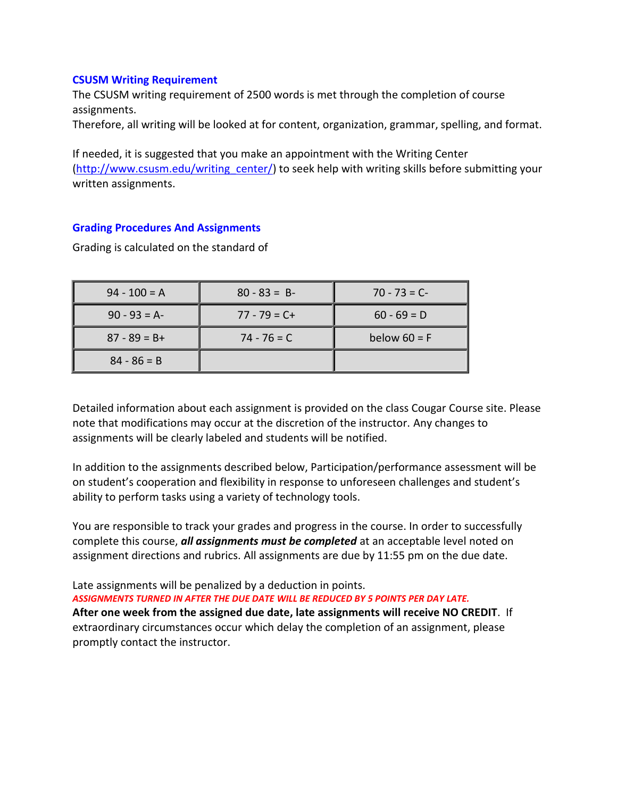#### **CSUSM Writing Requirement**

The CSUSM writing requirement of 2500 words is met through the completion of course assignments.

Therefore, all writing will be looked at for content, organization, grammar, spelling, and format.

If needed, it is suggested that you make an appointment with the Writing Center [\(http://www.csusm.edu/writing\\_center/\)](http://www.csusm.edu/writing_center/) to seek help with writing skills before submitting your written assignments.

#### **Grading Procedures And Assignments**

Grading is calculated on the standard of

| $94 - 100 = A$  | $80 - 83 = B$   | $70 - 73 = C$  |
|-----------------|-----------------|----------------|
| $90 - 93 = A$   | $77 - 79 = C +$ | $60 - 69 = D$  |
| $87 - 89 = B +$ | $74 - 76 = C$   | below $60 = F$ |
| $84 - 86 = B$   |                 |                |

Detailed information about each assignment is provided on the class Cougar Course site. Please note that modifications may occur at the discretion of the instructor. Any changes to assignments will be clearly labeled and students will be notified.

In addition to the assignments described below, Participation/performance assessment will be on student's cooperation and flexibility in response to unforeseen challenges and student's ability to perform tasks using a variety of technology tools.

You are responsible to track your grades and progress in the course. In order to successfully complete this course, *all assignments must be completed* at an acceptable level noted on assignment directions and rubrics. All assignments are due by 11:55 pm on the due date.

Late assignments will be penalized by a deduction in points. *ASSIGNMENTS TURNED IN AFTER THE DUE DATE WILL BE REDUCED BY 5 POINTS PER DAY LATE.* **After one week from the assigned due date, late assignments will receive NO CREDIT**. If extraordinary circumstances occur which delay the completion of an assignment, please promptly contact the instructor.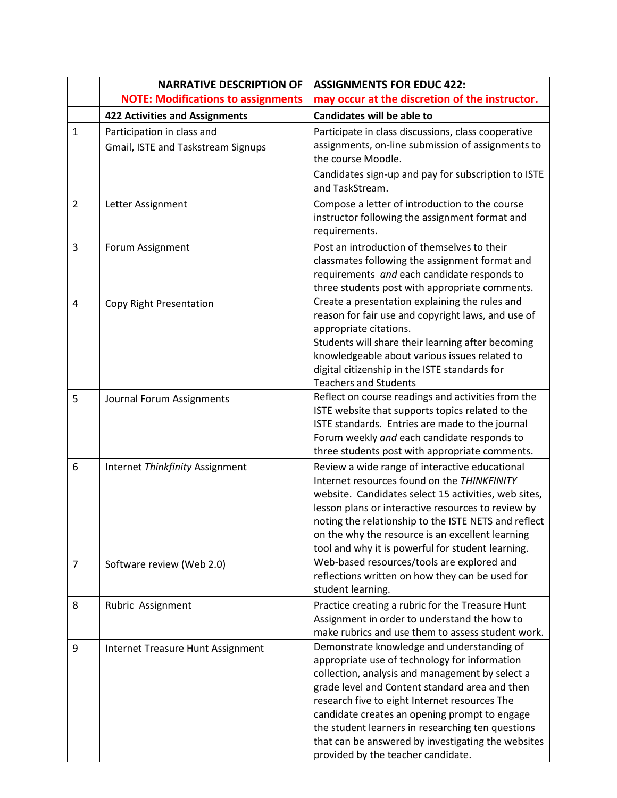|                | <b>NARRATIVE DESCRIPTION OF</b>                                  | <b>ASSIGNMENTS FOR EDUC 422:</b>                                                                                                                                                                                                                                                                                                                                                                                                                    |
|----------------|------------------------------------------------------------------|-----------------------------------------------------------------------------------------------------------------------------------------------------------------------------------------------------------------------------------------------------------------------------------------------------------------------------------------------------------------------------------------------------------------------------------------------------|
|                | <b>NOTE: Modifications to assignments</b>                        | may occur at the discretion of the instructor.                                                                                                                                                                                                                                                                                                                                                                                                      |
|                | <b>422 Activities and Assignments</b>                            | <b>Candidates will be able to</b>                                                                                                                                                                                                                                                                                                                                                                                                                   |
| $\mathbf{1}$   | Participation in class and<br>Gmail, ISTE and Taskstream Signups | Participate in class discussions, class cooperative<br>assignments, on-line submission of assignments to<br>the course Moodle.                                                                                                                                                                                                                                                                                                                      |
|                |                                                                  | Candidates sign-up and pay for subscription to ISTE<br>and TaskStream.                                                                                                                                                                                                                                                                                                                                                                              |
| $\overline{2}$ | Letter Assignment                                                | Compose a letter of introduction to the course<br>instructor following the assignment format and<br>requirements.                                                                                                                                                                                                                                                                                                                                   |
| 3              | Forum Assignment                                                 | Post an introduction of themselves to their<br>classmates following the assignment format and<br>requirements and each candidate responds to<br>three students post with appropriate comments.                                                                                                                                                                                                                                                      |
| 4              | Copy Right Presentation                                          | Create a presentation explaining the rules and<br>reason for fair use and copyright laws, and use of<br>appropriate citations.<br>Students will share their learning after becoming<br>knowledgeable about various issues related to<br>digital citizenship in the ISTE standards for<br><b>Teachers and Students</b>                                                                                                                               |
| 5              | Journal Forum Assignments                                        | Reflect on course readings and activities from the<br>ISTE website that supports topics related to the<br>ISTE standards. Entries are made to the journal<br>Forum weekly and each candidate responds to<br>three students post with appropriate comments.                                                                                                                                                                                          |
| 6              | Internet Thinkfinity Assignment                                  | Review a wide range of interactive educational<br>Internet resources found on the THINKFINITY<br>website. Candidates select 15 activities, web sites,<br>lesson plans or interactive resources to review by<br>noting the relationship to the ISTE NETS and reflect<br>on the why the resource is an excellent learning<br>tool and why it is powerful for student learning.                                                                        |
| $\overline{7}$ | Software review (Web 2.0)                                        | Web-based resources/tools are explored and<br>reflections written on how they can be used for<br>student learning.                                                                                                                                                                                                                                                                                                                                  |
| 8              | Rubric Assignment                                                | Practice creating a rubric for the Treasure Hunt<br>Assignment in order to understand the how to<br>make rubrics and use them to assess student work.                                                                                                                                                                                                                                                                                               |
| 9              | Internet Treasure Hunt Assignment                                | Demonstrate knowledge and understanding of<br>appropriate use of technology for information<br>collection, analysis and management by select a<br>grade level and Content standard area and then<br>research five to eight Internet resources The<br>candidate creates an opening prompt to engage<br>the student learners in researching ten questions<br>that can be answered by investigating the websites<br>provided by the teacher candidate. |